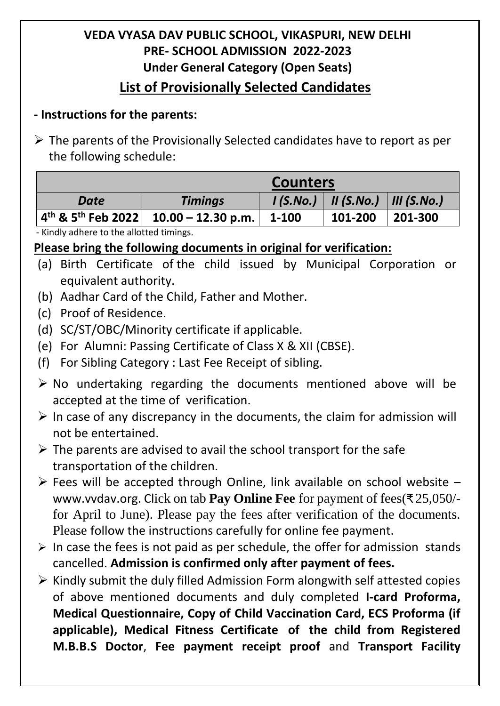## **VEDA VYASA DAV PUBLIC SCHOOL, VIKASPURI, NEW DELHI PRE- SCHOOL ADMISSION 2022-2023 Under General Category (Open Seats) List of Provisionally Selected Candidates**

## **- Instructions for the parents:**

 $\triangleright$  The parents of the Provisionally Selected candidates have to report as per the following schedule:

|      | <b>Counters</b>                                                  |          |              |                         |  |  |
|------|------------------------------------------------------------------|----------|--------------|-------------------------|--|--|
| Date | <b>Timings</b>                                                   | 1(S.No.) | $II$ (S.No.) | $\parallel$ III (S.No.) |  |  |
|      | $+4^{\text{th}}$ & 5 <sup>th</sup> Feb 2022   10.00 - 12.30 p.m. | 1-100    | 101-200      | 201-300                 |  |  |

- Kindly adhere to the allotted timings.

## **Please bring the following documents in original for verification:**

- (a) Birth Certificate of the child issued by Municipal Corporation or equivalent authority.
- (b) Aadhar Card of the Child, Father and Mother.
- (c) Proof of Residence.
- (d) SC/ST/OBC/Minority certificate if applicable.
- (e) For Alumni: Passing Certificate of Class X & XII (CBSE).
- (f) For Sibling Category : Last Fee Receipt of sibling.
- $\triangleright$  No undertaking regarding the documents mentioned above will be accepted at the time of verification.
- $\triangleright$  In case of any discrepancy in the documents, the claim for admission will not be entertained.
- $\triangleright$  The parents are advised to avail the school transport for the safe transportation of the children.
- $\triangleright$  Fees will be accepted through Online, link available on school website [www.vvdav.org.](http://www.vvdav.org/) Click on tab **Pay Online Fee** for payment of fees(₹ 25,050/ for April to June). Please pay the fees after verification of the documents. Please follow the instructions carefully for online fee payment.
- $\triangleright$  In case the fees is not paid as per schedule, the offer for admission stands cancelled. **Admission is confirmed only after payment of fees.**
- $\triangleright$  Kindly submit the duly filled Admission Form alongwith self attested copies of above mentioned documents and duly completed **I-card Proforma, Medical Questionnaire, Copy of Child Vaccination Card, ECS Proforma (if applicable), Medical Fitness Certificate of the child from Registered M.B.B.S Doctor**, **Fee payment receipt proof** and **Transport Facility**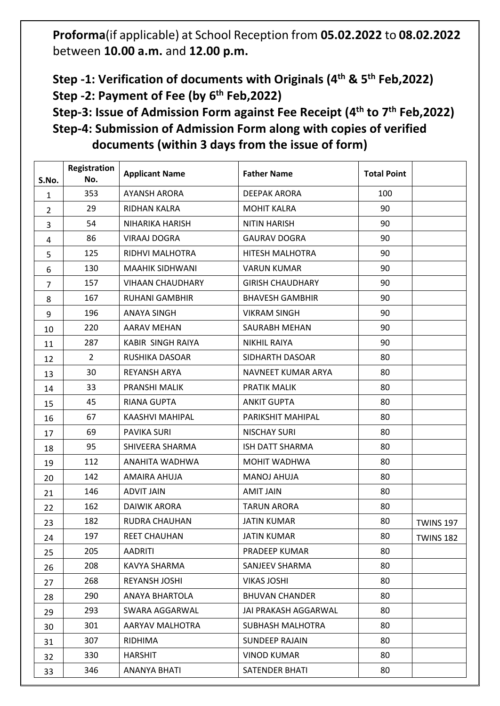**Proforma**(if applicable) at School Reception from **05.02.2022** to **08.02.2022** between **10.00 a.m.** and **12.00 p.m.**

**Step -1: Verification of documents with Originals (4 th & 5th Feb,2022) Step -2: Payment of Fee (by 6 th Feb,2022)**

**Step-3: Issue of Admission Form against Fee Receipt (4 th to 7th Feb,2022) Step-4: Submission of Admission Form along with copies of verified documents (within 3 days from the issue of form)**

| S.No.          | Registration<br>No. | <b>Applicant Name</b>   | <b>Father Name</b>      | <b>Total Point</b> |                  |
|----------------|---------------------|-------------------------|-------------------------|--------------------|------------------|
| $\mathbf{1}$   | 353                 | <b>AYANSH ARORA</b>     | <b>DEEPAK ARORA</b>     | 100                |                  |
| $\overline{2}$ | 29                  | RIDHAN KALRA            | <b>MOHIT KALRA</b>      | 90                 |                  |
| 3              | 54                  | NIHARIKA HARISH         | <b>NITIN HARISH</b>     | 90                 |                  |
| 4              | 86                  | <b>VIRAAJ DOGRA</b>     | <b>GAURAV DOGRA</b>     | 90                 |                  |
| 5              | 125                 | RIDHVI MALHOTRA         | HITESH MALHOTRA         | 90                 |                  |
| 6              | 130                 | <b>MAAHIK SIDHWANI</b>  | <b>VARUN KUMAR</b>      | 90                 |                  |
| 7              | 157                 | <b>VIHAAN CHAUDHARY</b> | <b>GIRISH CHAUDHARY</b> | 90                 |                  |
| 8              | 167                 | <b>RUHANI GAMBHIR</b>   | <b>BHAVESH GAMBHIR</b>  | 90                 |                  |
| 9              | 196                 | <b>ANAYA SINGH</b>      | <b>VIKRAM SINGH</b>     | 90                 |                  |
| 10             | 220                 | <b>AARAV MEHAN</b>      | SAURABH MEHAN           | 90                 |                  |
| 11             | 287                 | KABIR SINGH RAIYA       | <b>NIKHIL RAIYA</b>     | 90                 |                  |
| 12             | $\overline{2}$      | RUSHIKA DASOAR          | SIDHARTH DASOAR         | 80                 |                  |
| 13             | 30                  | <b>REYANSH ARYA</b>     | NAVNEET KUMAR ARYA      | 80                 |                  |
| 14             | 33                  | PRANSHI MALIK           | PRATIK MALIK            | 80                 |                  |
| 15             | 45                  | <b>RIANA GUPTA</b>      | <b>ANKIT GUPTA</b>      | 80                 |                  |
| 16             | 67                  | KAASHVI MAHIPAL         | PARIKSHIT MAHIPAL       | 80                 |                  |
| 17             | 69                  | PAVIKA SURI             | <b>NISCHAY SURI</b>     | 80                 |                  |
| 18             | 95                  | SHIVEERA SHARMA         | <b>ISH DATT SHARMA</b>  | 80                 |                  |
| 19             | 112                 | ANAHITA WADHWA          | MOHIT WADHWA            | 80                 |                  |
| 20             | 142                 | AMAIRA AHUJA            | <b>MANOJ AHUJA</b>      | 80                 |                  |
| 21             | 146                 | <b>ADVIT JAIN</b>       | <b>AMIT JAIN</b>        | 80                 |                  |
| 22             | 162                 | <b>DAIWIK ARORA</b>     | <b>TARUN ARORA</b>      | 80                 |                  |
| 23             | 182                 | RUDRA CHAUHAN           | <b>JATIN KUMAR</b>      | 80                 | <b>TWINS 197</b> |
| 24             | 197                 | <b>REET CHAUHAN</b>     | <b>JATIN KUMAR</b>      | 80                 | <b>TWINS 182</b> |
| 25             | 205                 | <b>AADRITI</b>          | PRADEEP KUMAR           | 80                 |                  |
| 26             | 208                 | KAVYA SHARMA            | SANJEEV SHARMA          | 80                 |                  |
| 27             | 268                 | REYANSH JOSHI           | <b>VIKAS JOSHI</b>      | 80                 |                  |
| 28             | 290                 | ANAYA BHARTOLA          | <b>BHUVAN CHANDER</b>   | 80                 |                  |
| 29             | 293                 | SWARA AGGARWAL          | JAI PRAKASH AGGARWAL    | 80                 |                  |
| 30             | 301                 | AARYAV MALHOTRA         | SUBHASH MALHOTRA        | 80                 |                  |
| 31             | 307                 | RIDHIMA                 | <b>SUNDEEP RAJAIN</b>   | 80                 |                  |
| 32             | 330                 | <b>HARSHIT</b>          | <b>VINOD KUMAR</b>      | 80                 |                  |
| 33             | 346                 | ANANYA BHATI            | SATENDER BHATI          | 80                 |                  |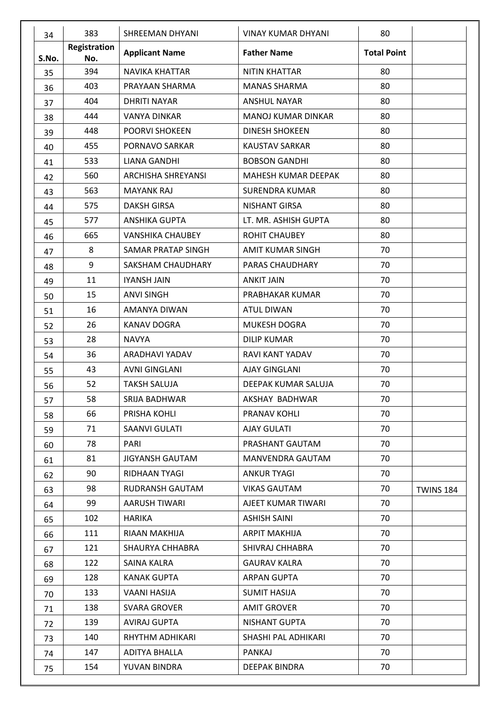| 34    | 383                 | <b>SHREEMAN DHYANI</b>  | <b>VINAY KUMAR DHYANI</b> | 80                 |                  |
|-------|---------------------|-------------------------|---------------------------|--------------------|------------------|
| S.No. | Registration<br>No. | <b>Applicant Name</b>   | <b>Father Name</b>        | <b>Total Point</b> |                  |
| 35    | 394                 | <b>NAVIKA KHATTAR</b>   | <b>NITIN KHATTAR</b>      | 80                 |                  |
| 36    | 403                 | PRAYAAN SHARMA          | <b>MANAS SHARMA</b>       | 80                 |                  |
| 37    | 404                 | <b>DHRITI NAYAR</b>     | <b>ANSHUL NAYAR</b>       | 80                 |                  |
| 38    | 444                 | <b>VANYA DINKAR</b>     | <b>MANOJ KUMAR DINKAR</b> | 80                 |                  |
| 39    | 448                 | POORVI SHOKEEN          | <b>DINESH SHOKEEN</b>     | 80                 |                  |
| 40    | 455                 | PORNAVO SARKAR          | <b>KAUSTAV SARKAR</b>     | 80                 |                  |
| 41    | 533                 | LIANA GANDHI            | <b>BOBSON GANDHI</b>      | 80                 |                  |
| 42    | 560                 | ARCHISHA SHREYANSI      | MAHESH KUMAR DEEPAK       | 80                 |                  |
| 43    | 563                 | <b>MAYANK RAJ</b>       | <b>SURENDRA KUMAR</b>     | 80                 |                  |
| 44    | 575                 | <b>DAKSH GIRSA</b>      | <b>NISHANT GIRSA</b>      | 80                 |                  |
| 45    | 577                 | <b>ANSHIKA GUPTA</b>    | LT. MR. ASHISH GUPTA      | 80                 |                  |
| 46    | 665                 | <b>VANSHIKA CHAUBEY</b> | <b>ROHIT CHAUBEY</b>      | 80                 |                  |
| 47    | 8                   | SAMAR PRATAP SINGH      | AMIT KUMAR SINGH          | 70                 |                  |
| 48    | 9                   | SAKSHAM CHAUDHARY       | PARAS CHAUDHARY           | 70                 |                  |
| 49    | 11                  | <b>IYANSH JAIN</b>      | <b>ANKIT JAIN</b>         | 70                 |                  |
| 50    | 15                  | <b>ANVI SINGH</b>       | PRABHAKAR KUMAR           | 70                 |                  |
| 51    | 16                  | AMANYA DIWAN            | <b>ATUL DIWAN</b>         | 70                 |                  |
| 52    | 26                  | <b>KANAV DOGRA</b>      | MUKESH DOGRA              | 70                 |                  |
| 53    | 28                  | <b>NAVYA</b>            | <b>DILIP KUMAR</b>        | 70                 |                  |
| 54    | 36                  | ARADHAVI YADAV          | RAVI KANT YADAV           | 70                 |                  |
| 55    | 43                  | <b>AVNI GINGLANI</b>    | <b>AJAY GINGLANI</b>      | 70                 |                  |
| 56    | 52                  | <b>TAKSH SALUJA</b>     | DEEPAK KUMAR SALUJA       | 70                 |                  |
| 57    | 58                  | SRIJA BADHWAR           | AKSHAY BADHWAR            | 70                 |                  |
| 58    | 66                  | PRISHA KOHLI            | PRANAV KOHLI              | 70                 |                  |
| 59    | 71                  | <b>SAANVI GULATI</b>    | <b>AJAY GULATI</b>        | 70                 |                  |
| 60    | 78                  | PARI                    | PRASHANT GAUTAM           | 70                 |                  |
| 61    | 81                  | <b>JIGYANSH GAUTAM</b>  | MANVENDRA GAUTAM          | 70                 |                  |
| 62    | 90                  | RIDHAAN TYAGI           | <b>ANKUR TYAGI</b>        | 70                 |                  |
| 63    | 98                  | <b>RUDRANSH GAUTAM</b>  | <b>VIKAS GAUTAM</b>       | 70                 | <b>TWINS 184</b> |
| 64    | 99                  | AARUSH TIWARI           | AJEET KUMAR TIWARI        | 70                 |                  |
| 65    | 102                 | <b>HARIKA</b>           | <b>ASHISH SAINI</b>       | 70                 |                  |
| 66    | 111                 | RIAAN MAKHIJA           | <b>ARPIT MAKHIJA</b>      | 70                 |                  |
| 67    | 121                 | <b>SHAURYA CHHABRA</b>  | SHIVRAJ CHHABRA           | 70                 |                  |
| 68    | 122                 | SAINA KALRA             | <b>GAURAV KALRA</b>       | 70                 |                  |
| 69    | 128                 | <b>KANAK GUPTA</b>      | <b>ARPAN GUPTA</b>        | 70                 |                  |
| 70    | 133                 | VAANI HASIJA            | <b>SUMIT HASIJA</b>       | 70                 |                  |
| 71    | 138                 | SVARA GROVER            | <b>AMIT GROVER</b>        | 70                 |                  |
| 72    | 139                 | <b>AVIRAJ GUPTA</b>     | <b>NISHANT GUPTA</b>      | 70                 |                  |
| 73    | 140                 | RHYTHM ADHIKARI         | SHASHI PAL ADHIKARI       | 70                 |                  |
| 74    | 147                 | ADITYA BHALLA           | PANKAJ                    | 70                 |                  |
| 75    | 154                 | YUVAN BINDRA            | DEEPAK BINDRA             | 70                 |                  |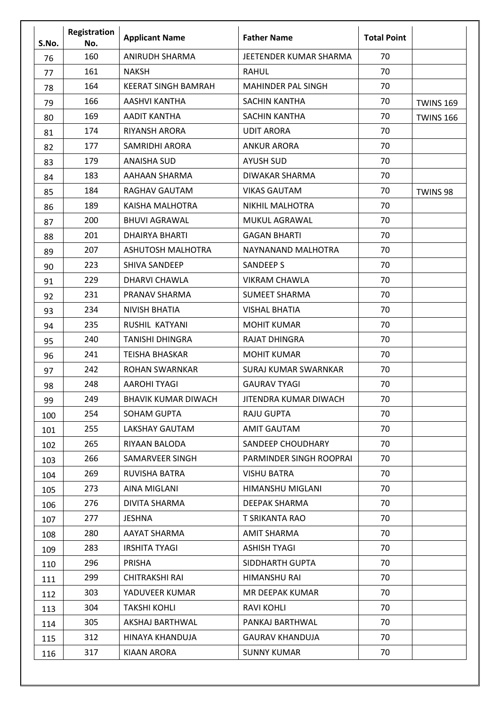| S.No. | Registration<br>No. | <b>Applicant Name</b>      | <b>Father Name</b>          | <b>Total Point</b> |                  |
|-------|---------------------|----------------------------|-----------------------------|--------------------|------------------|
| 76    | 160                 | <b>ANIRUDH SHARMA</b>      | JEETENDER KUMAR SHARMA      | 70                 |                  |
| 77    | 161                 | <b>NAKSH</b>               | <b>RAHUL</b>                | 70                 |                  |
| 78    | 164                 | <b>KEERAT SINGH BAMRAH</b> | <b>MAHINDER PAL SINGH</b>   | 70                 |                  |
| 79    | 166                 | AASHVI KANTHA              | <b>SACHIN KANTHA</b>        | 70                 | <b>TWINS 169</b> |
| 80    | 169                 | <b>AADIT KANTHA</b>        | SACHIN KANTHA               | 70                 | <b>TWINS 166</b> |
| 81    | 174                 | RIYANSH ARORA              | <b>UDIT ARORA</b>           | 70                 |                  |
| 82    | 177                 | <b>SAMRIDHI ARORA</b>      | <b>ANKUR ARORA</b>          | 70                 |                  |
| 83    | 179                 | <b>ANAISHA SUD</b>         | <b>AYUSH SUD</b>            | 70                 |                  |
| 84    | 183                 | AAHAAN SHARMA              | <b>DIWAKAR SHARMA</b>       | 70                 |                  |
| 85    | 184                 | RAGHAV GAUTAM              | <b>VIKAS GAUTAM</b>         | 70                 | TWINS 98         |
| 86    | 189                 | KAISHA MALHOTRA            | <b>NIKHIL MALHOTRA</b>      | 70                 |                  |
| 87    | 200                 | <b>BHUVI AGRAWAL</b>       | MUKUL AGRAWAL               | 70                 |                  |
| 88    | 201                 | <b>DHAIRYA BHARTI</b>      | <b>GAGAN BHARTI</b>         | 70                 |                  |
| 89    | 207                 | ASHUTOSH MALHOTRA          | NAYNANAND MALHOTRA          | 70                 |                  |
| 90    | 223                 | <b>SHIVA SANDEEP</b>       | <b>SANDEEP S</b>            | 70                 |                  |
| 91    | 229                 | DHARVI CHAWLA              | <b>VIKRAM CHAWLA</b>        | 70                 |                  |
| 92    | 231                 | PRANAV SHARMA              | <b>SUMEET SHARMA</b>        | 70                 |                  |
| 93    | 234                 | <b>NIVISH BHATIA</b>       | <b>VISHAL BHATIA</b>        | 70                 |                  |
| 94    | 235                 | RUSHIL KATYANI             | <b>MOHIT KUMAR</b>          | 70                 |                  |
| 95    | 240                 | <b>TANISHI DHINGRA</b>     | <b>RAJAT DHINGRA</b>        | 70                 |                  |
| 96    | 241                 | <b>TEISHA BHASKAR</b>      | <b>MOHIT KUMAR</b>          | 70                 |                  |
| 97    | 242                 | <b>ROHAN SWARNKAR</b>      | <b>SURAJ KUMAR SWARNKAR</b> | 70                 |                  |
| 98    | 248                 | <b>AAROHI TYAGI</b>        | <b>GAURAV TYAGI</b>         | 70                 |                  |
| 99    | 249                 | <b>BHAVIK KUMAR DIWACH</b> | JITENDRA KUMAR DIWACH       | 70                 |                  |
| 100   | 254                 | <b>SOHAM GUPTA</b>         | <b>RAJU GUPTA</b>           | 70                 |                  |
| 101   | 255                 | LAKSHAY GAUTAM             | AMIT GAUTAM                 | 70                 |                  |
| 102   | 265                 | RIYAAN BALODA              | SANDEEP CHOUDHARY           | 70                 |                  |
| 103   | 266                 | SAMARVEER SINGH            | PARMINDER SINGH ROOPRAI     | 70                 |                  |
| 104   | 269                 | RUVISHA BATRA              | <b>VISHU BATRA</b>          | 70                 |                  |
| 105   | 273                 | AINA MIGLANI               | HIMANSHU MIGLANI            | 70                 |                  |
| 106   | 276                 | <b>DIVITA SHARMA</b>       | <b>DEEPAK SHARMA</b>        | 70                 |                  |
| 107   | 277                 | <b>JESHNA</b>              | T SRIKANTA RAO              | 70                 |                  |
| 108   | 280                 | AAYAT SHARMA               | <b>AMIT SHARMA</b>          | 70                 |                  |
| 109   | 283                 | <b>IRSHITA TYAGI</b>       | <b>ASHISH TYAGI</b>         | 70                 |                  |
| 110   | 296                 | PRISHA                     | SIDDHARTH GUPTA             | 70                 |                  |
| 111   | 299                 | <b>CHITRAKSHI RAI</b>      | HIMANSHU RAI                | 70                 |                  |
| 112   | 303                 | YADUVEER KUMAR             | MR DEEPAK KUMAR             | 70                 |                  |
| 113   | 304                 | <b>TAKSHI KOHLI</b>        | <b>RAVI KOHLI</b>           | 70                 |                  |
| 114   | 305                 | AKSHAJ BARTHWAL            | PANKAJ BARTHWAL             | 70                 |                  |
| 115   | 312                 | HINAYA KHANDUJA            | <b>GAURAV KHANDUJA</b>      | 70                 |                  |
| 116   | 317                 | <b>KIAAN ARORA</b>         | <b>SUNNY KUMAR</b>          | 70                 |                  |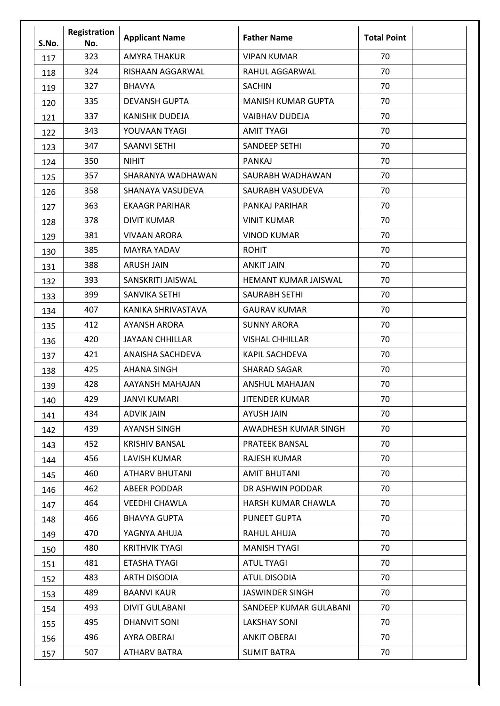| S.No. | Registration<br>No. | <b>Applicant Name</b>   | <b>Father Name</b>          | <b>Total Point</b> |
|-------|---------------------|-------------------------|-----------------------------|--------------------|
| 117   | 323                 | <b>AMYRA THAKUR</b>     | <b>VIPAN KUMAR</b>          | 70                 |
| 118   | 324                 | RISHAAN AGGARWAL        | RAHUL AGGARWAL              | 70                 |
| 119   | 327                 | <b>BHAVYA</b>           | <b>SACHIN</b>               | 70                 |
| 120   | 335                 | <b>DEVANSH GUPTA</b>    | <b>MANISH KUMAR GUPTA</b>   | 70                 |
| 121   | 337                 | <b>KANISHK DUDEJA</b>   | <b>VAIBHAV DUDEJA</b>       | 70                 |
| 122   | 343                 | YOUVAAN TYAGI           | <b>AMIT TYAGI</b>           | 70                 |
| 123   | 347                 | <b>SAANVI SETHI</b>     | <b>SANDEEP SETHI</b>        | 70                 |
| 124   | 350                 | <b>NIHIT</b>            | <b>PANKAJ</b>               | 70                 |
| 125   | 357                 | SHARANYA WADHAWAN       | SAURABH WADHAWAN            | 70                 |
| 126   | 358                 | SHANAYA VASUDEVA        | SAURABH VASUDEVA            | 70                 |
| 127   | 363                 | <b>EKAAGR PARIHAR</b>   | PANKAJ PARIHAR              | 70                 |
| 128   | 378                 | <b>DIVIT KUMAR</b>      | <b>VINIT KUMAR</b>          | 70                 |
| 129   | 381                 | <b>VIVAAN ARORA</b>     | <b>VINOD KUMAR</b>          | 70                 |
| 130   | 385                 | <b>MAYRA YADAV</b>      | <b>ROHIT</b>                | 70                 |
| 131   | 388                 | <b>ARUSH JAIN</b>       | <b>ANKIT JAIN</b>           | 70                 |
| 132   | 393                 | SANSKRITI JAISWAL       | <b>HEMANT KUMAR JAISWAL</b> | 70                 |
| 133   | 399                 | SANVIKA SETHI           | <b>SAURABH SETHI</b>        | 70                 |
| 134   | 407                 | KANIKA SHRIVASTAVA      | <b>GAURAV KUMAR</b>         | 70                 |
| 135   | 412                 | <b>AYANSH ARORA</b>     | <b>SUNNY ARORA</b>          | 70                 |
| 136   | 420                 | <b>JAYAAN CHHILLAR</b>  | <b>VISHAL CHHILLAR</b>      | 70                 |
| 137   | 421                 | <b>ANAISHA SACHDEVA</b> | <b>KAPIL SACHDEVA</b>       | 70                 |
| 138   | 425                 | <b>AHANA SINGH</b>      | <b>SHARAD SAGAR</b>         | 70                 |
| 139   | 428                 | AAYANSH MAHAJAN         | <b>ANSHUL MAHAJAN</b>       | 70                 |
| 140   | 429                 | <b>JANVI KUMARI</b>     | <b>JITENDER KUMAR</b>       | 70                 |
| 141   | 434                 | <b>ADVIK JAIN</b>       | AYUSH JAIN                  | 70                 |
| 142   | 439                 | <b>AYANSH SINGH</b>     | AWADHESH KUMAR SINGH        | 70                 |
| 143   | 452                 | <b>KRISHIV BANSAL</b>   | PRATEEK BANSAL              | 70                 |
| 144   | 456                 | <b>LAVISH KUMAR</b>     | <b>RAJESH KUMAR</b>         | 70                 |
| 145   | 460                 | <b>ATHARV BHUTANI</b>   | <b>AMIT BHUTANI</b>         | 70                 |
| 146   | 462                 | <b>ABEER PODDAR</b>     | DR ASHWIN PODDAR            | 70                 |
| 147   | 464                 | <b>VEEDHI CHAWLA</b>    | HARSH KUMAR CHAWLA          | 70                 |
| 148   | 466                 | <b>BHAVYA GUPTA</b>     | <b>PUNEET GUPTA</b>         | 70                 |
| 149   | 470                 | YAGNYA AHUJA            | RAHUL AHUJA                 | 70                 |
| 150   | 480                 | <b>KRITHVIK TYAGI</b>   | <b>MANISH TYAGI</b>         | 70                 |
| 151   | 481                 | <b>ETASHA TYAGI</b>     | <b>ATUL TYAGI</b>           | 70                 |
| 152   | 483                 | <b>ARTH DISODIA</b>     | <b>ATUL DISODIA</b>         | 70                 |
| 153   | 489                 | <b>BAANVI KAUR</b>      | <b>JASWINDER SINGH</b>      | 70                 |
| 154   | 493                 | <b>DIVIT GULABANI</b>   | SANDEEP KUMAR GULABANI      | 70                 |
| 155   | 495                 | DHANVIT SONI            | <b>LAKSHAY SONI</b>         | 70                 |
| 156   | 496                 | AYRA OBERAI             | <b>ANKIT OBERAI</b>         | 70                 |
| 157   | 507                 | <b>ATHARV BATRA</b>     | <b>SUMIT BATRA</b>          | 70                 |
|       |                     |                         |                             |                    |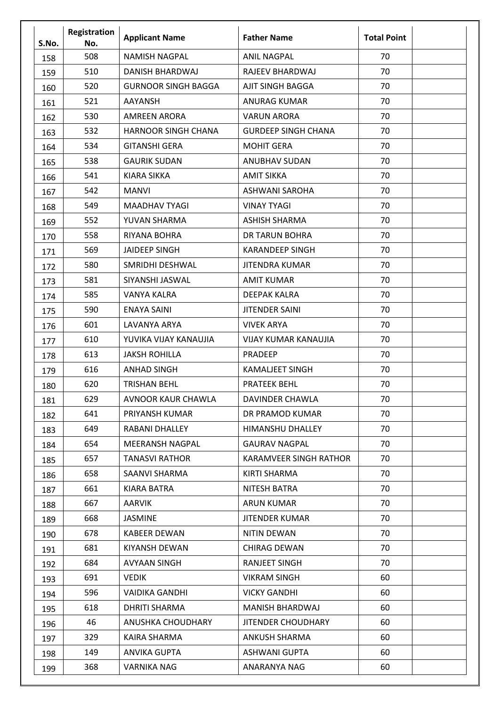| S.No. | Registration<br>No. | <b>Applicant Name</b>      | <b>Father Name</b>          | <b>Total Point</b> |
|-------|---------------------|----------------------------|-----------------------------|--------------------|
| 158   | 508                 | <b>NAMISH NAGPAL</b>       | <b>ANIL NAGPAL</b>          | 70                 |
| 159   | 510                 | DANISH BHARDWAJ            | RAJEEV BHARDWAJ             | 70                 |
| 160   | 520                 | <b>GURNOOR SINGH BAGGA</b> | AJIT SINGH BAGGA            | 70                 |
| 161   | 521                 | <b>AAYANSH</b>             | <b>ANURAG KUMAR</b>         | 70                 |
| 162   | 530                 | <b>AMREEN ARORA</b>        | <b>VARUN ARORA</b>          | 70                 |
| 163   | 532                 | <b>HARNOOR SINGH CHANA</b> | <b>GURDEEP SINGH CHANA</b>  | 70                 |
| 164   | 534                 | <b>GITANSHI GERA</b>       | <b>MOHIT GERA</b>           | 70                 |
| 165   | 538                 | <b>GAURIK SUDAN</b>        | <b>ANUBHAV SUDAN</b>        | 70                 |
| 166   | 541                 | <b>KIARA SIKKA</b>         | <b>AMIT SIKKA</b>           | 70                 |
| 167   | 542                 | <b>MANVI</b>               | <b>ASHWANI SAROHA</b>       | 70                 |
| 168   | 549                 | <b>MAADHAV TYAGI</b>       | <b>VINAY TYAGI</b>          | 70                 |
| 169   | 552                 | YUVAN SHARMA               | <b>ASHISH SHARMA</b>        | 70                 |
| 170   | 558                 | RIYANA BOHRA               | DR TARUN BOHRA              | 70                 |
| 171   | 569                 | <b>JAIDEEP SINGH</b>       | <b>KARANDEEP SINGH</b>      | 70                 |
| 172   | 580                 | SMRIDHI DESHWAL            | <b>JITENDRA KUMAR</b>       | 70                 |
| 173   | 581                 | SIYANSHI JASWAL            | <b>AMIT KUMAR</b>           | 70                 |
| 174   | 585                 | VANYA KALRA                | <b>DEEPAK KALRA</b>         | 70                 |
| 175   | 590                 | <b>ENAYA SAINI</b>         | <b>JITENDER SAINI</b>       | 70                 |
| 176   | 601                 | LAVANYA ARYA               | <b>VIVEK ARYA</b>           | 70                 |
| 177   | 610                 | YUVIKA VIJAY KANAUJIA      | <b>VIJAY KUMAR KANAUJIA</b> | 70                 |
| 178   | 613                 | <b>JAKSH ROHILLA</b>       | PRADEEP                     | 70                 |
| 179   | 616                 | <b>ANHAD SINGH</b>         | <b>KAMALJEET SINGH</b>      | 70                 |
| 180   | 620                 | <b>TRISHAN BEHL</b>        | <b>PRATEEK BEHL</b>         | 70                 |
| 181   | 629                 | <b>AVNOOR KAUR CHAWLA</b>  | <b>DAVINDER CHAWLA</b>      | 70                 |
| 182   | 641                 | PRIYANSH KUMAR             | DR PRAMOD KUMAR             | 70                 |
| 183   | 649                 | RABANI DHALLEY             | <b>HIMANSHU DHALLEY</b>     | 70                 |
| 184   | 654                 | <b>MEERANSH NAGPAL</b>     | <b>GAURAV NAGPAL</b>        | 70                 |
| 185   | 657                 | <b>TANASVI RATHOR</b>      | KARAMVEER SINGH RATHOR      | 70                 |
| 186   | 658                 | SAANVI SHARMA              | KIRTI SHARMA                | 70                 |
| 187   | 661                 | KIARA BATRA                | NITESH BATRA                | 70                 |
| 188   | 667                 | <b>AARVIK</b>              | <b>ARUN KUMAR</b>           | 70                 |
| 189   | 668                 | JASMINE                    | <b>JITENDER KUMAR</b>       | 70                 |
| 190   | 678                 | <b>KABEER DEWAN</b>        | NITIN DEWAN                 | 70                 |
| 191   | 681                 | KIYANSH DEWAN              | <b>CHIRAG DEWAN</b>         | 70                 |
| 192   | 684                 | <b>AVYAAN SINGH</b>        | <b>RANJEET SINGH</b>        | 70                 |
| 193   | 691                 | <b>VEDIK</b>               | <b>VIKRAM SINGH</b>         | 60                 |
| 194   | 596                 | <b>VAIDIKA GANDHI</b>      | <b>VICKY GANDHI</b>         | 60                 |
| 195   | 618                 | <b>DHRITI SHARMA</b>       | <b>MANISH BHARDWAJ</b>      | 60                 |
| 196   | 46                  | ANUSHKA CHOUDHARY          | <b>JITENDER CHOUDHARY</b>   | 60                 |
| 197   | 329                 | KAIRA SHARMA               | ANKUSH SHARMA               | 60                 |
| 198   | 149                 | ANVIKA GUPTA               | ASHWANI GUPTA               | 60                 |
| 199   | 368                 | VARNIKA NAG                | ANARANYA NAG                | 60                 |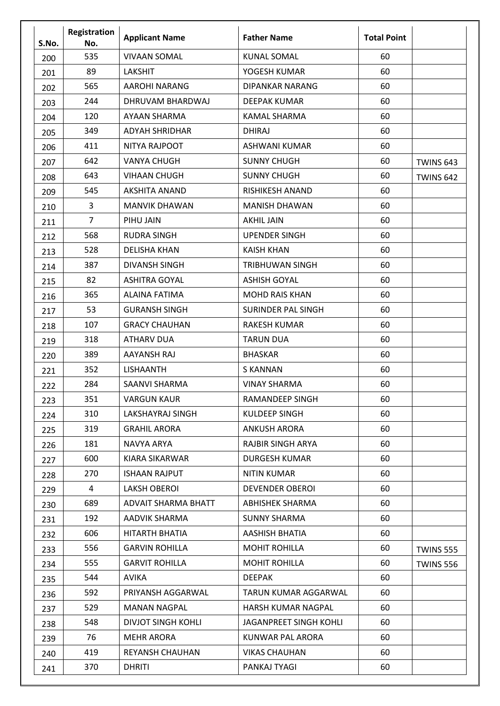| S.No. | Registration<br>No. | <b>Applicant Name</b>     | <b>Father Name</b>        | <b>Total Point</b> |                  |
|-------|---------------------|---------------------------|---------------------------|--------------------|------------------|
| 200   | 535                 | <b>VIVAAN SOMAL</b>       | <b>KUNAL SOMAL</b>        | 60                 |                  |
| 201   | 89                  | <b>LAKSHIT</b>            | YOGESH KUMAR              | 60                 |                  |
| 202   | 565                 | <b>AAROHI NARANG</b>      | DIPANKAR NARANG           | 60                 |                  |
| 203   | 244                 | DHRUVAM BHARDWAJ          | <b>DEEPAK KUMAR</b>       | 60                 |                  |
| 204   | 120                 | AYAAN SHARMA              | <b>KAMAL SHARMA</b>       | 60                 |                  |
| 205   | 349                 | <b>ADYAH SHRIDHAR</b>     | <b>DHIRAJ</b>             | 60                 |                  |
| 206   | 411                 | NITYA RAJPOOT             | <b>ASHWANI KUMAR</b>      | 60                 |                  |
| 207   | 642                 | <b>VANYA CHUGH</b>        | <b>SUNNY CHUGH</b>        | 60                 | <b>TWINS 643</b> |
| 208   | 643                 | <b>VIHAAN CHUGH</b>       | <b>SUNNY CHUGH</b>        | 60                 | <b>TWINS 642</b> |
| 209   | 545                 | <b>AKSHITA ANAND</b>      | RISHIKESH ANAND           | 60                 |                  |
| 210   | 3                   | <b>MANVIK DHAWAN</b>      | <b>MANISH DHAWAN</b>      | 60                 |                  |
| 211   | $\overline{7}$      | PIHU JAIN                 | <b>AKHIL JAIN</b>         | 60                 |                  |
| 212   | 568                 | <b>RUDRA SINGH</b>        | <b>UPENDER SINGH</b>      | 60                 |                  |
| 213   | 528                 | <b>DELISHA KHAN</b>       | <b>KAISH KHAN</b>         | 60                 |                  |
| 214   | 387                 | <b>DIVANSH SINGH</b>      | TRIBHUWAN SINGH           | 60                 |                  |
| 215   | 82                  | <b>ASHITRA GOYAL</b>      | <b>ASHISH GOYAL</b>       | 60                 |                  |
| 216   | 365                 | ALAINA FATIMA             | <b>MOHD RAIS KHAN</b>     | 60                 |                  |
| 217   | 53                  | <b>GURANSH SINGH</b>      | <b>SURINDER PAL SINGH</b> | 60                 |                  |
| 218   | 107                 | <b>GRACY CHAUHAN</b>      | <b>RAKESH KUMAR</b>       | 60                 |                  |
| 219   | 318                 | <b>ATHARV DUA</b>         | <b>TARUN DUA</b>          | 60                 |                  |
| 220   | 389                 | <b>AAYANSH RAJ</b>        | <b>BHASKAR</b>            | 60                 |                  |
| 221   | 352                 | <b>LISHAANTH</b>          | <b>S KANNAN</b>           | 60                 |                  |
| 222   | 284                 | <b>SAANVI SHARMA</b>      | <b>VINAY SHARMA</b>       | 60                 |                  |
| 223   | 351                 | <b>VARGUN KAUR</b>        | RAMANDEEP SINGH           | 60                 |                  |
| 224   | 310                 | LAKSHAYRAJ SINGH          | <b>KULDEEP SINGH</b>      | 60                 |                  |
| 225   | 319                 | <b>GRAHIL ARORA</b>       | ANKUSH ARORA              | 60                 |                  |
| 226   | 181                 | NAVYA ARYA                | RAJBIR SINGH ARYA         | 60                 |                  |
| 227   | 600                 | KIARA SIKARWAR            | <b>DURGESH KUMAR</b>      | 60                 |                  |
| 228   | 270                 | <b>ISHAAN RAJPUT</b>      | <b>NITIN KUMAR</b>        | 60                 |                  |
| 229   | 4                   | <b>LAKSH OBEROI</b>       | <b>DEVENDER OBEROI</b>    | 60                 |                  |
| 230   | 689                 | ADVAIT SHARMA BHATT       | <b>ABHISHEK SHARMA</b>    | 60                 |                  |
| 231   | 192                 | AADVIK SHARMA             | <b>SUNNY SHARMA</b>       | 60                 |                  |
| 232   | 606                 | HITARTH BHATIA            | AASHISH BHATIA            | 60                 |                  |
| 233   | 556                 | <b>GARVIN ROHILLA</b>     | <b>MOHIT ROHILLA</b>      | 60                 | <b>TWINS 555</b> |
| 234   | 555                 | <b>GARVIT ROHILLA</b>     | <b>MOHIT ROHILLA</b>      | 60                 | <b>TWINS 556</b> |
| 235   | 544                 | AVIKA                     | <b>DEEPAK</b>             | 60                 |                  |
| 236   | 592                 | PRIYANSH AGGARWAL         | TARUN KUMAR AGGARWAL      | 60                 |                  |
| 237   | 529                 | <b>MANAN NAGPAL</b>       | HARSH KUMAR NAGPAL        | 60                 |                  |
| 238   | 548                 | <b>DIVJOT SINGH KOHLI</b> | JAGANPREET SINGH KOHLI    | 60                 |                  |
| 239   | 76                  | <b>MEHR ARORA</b>         | KUNWAR PAL ARORA          | 60                 |                  |
| 240   | 419                 | <b>REYANSH CHAUHAN</b>    | <b>VIKAS CHAUHAN</b>      | 60                 |                  |
|       | 370                 | <b>DHRITI</b>             | PANKAJ TYAGI              | 60                 |                  |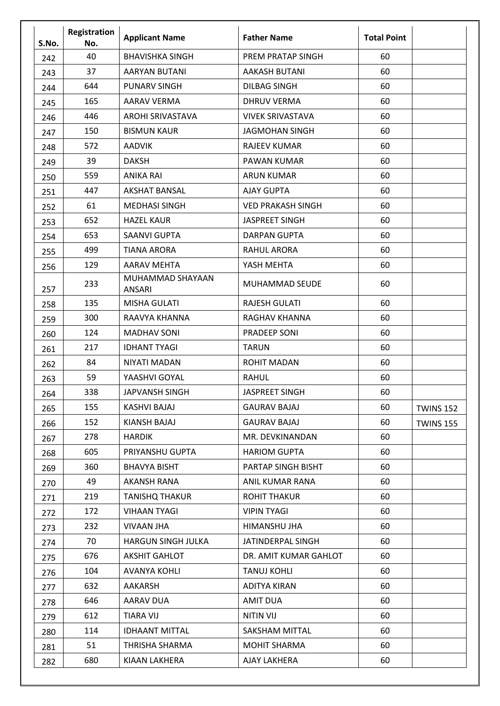| S.No. | Registration<br>No. | <b>Applicant Name</b>             | <b>Father Name</b>       | <b>Total Point</b> |                  |
|-------|---------------------|-----------------------------------|--------------------------|--------------------|------------------|
| 242   | 40                  | <b>BHAVISHKA SINGH</b>            | PREM PRATAP SINGH        | 60                 |                  |
| 243   | 37                  | <b>AARYAN BUTANI</b>              | <b>AAKASH BUTANI</b>     | 60                 |                  |
| 244   | 644                 | <b>PUNARV SINGH</b>               | <b>DILBAG SINGH</b>      | 60                 |                  |
| 245   | 165                 | <b>AARAV VERMA</b>                | <b>DHRUV VERMA</b>       | 60                 |                  |
| 246   | 446                 | AROHI SRIVASTAVA                  | <b>VIVEK SRIVASTAVA</b>  | 60                 |                  |
| 247   | 150                 | <b>BISMUN KAUR</b>                | <b>JAGMOHAN SINGH</b>    | 60                 |                  |
| 248   | 572                 | <b>AADVIK</b>                     | <b>RAJEEV KUMAR</b>      | 60                 |                  |
| 249   | 39                  | <b>DAKSH</b>                      | PAWAN KUMAR              | 60                 |                  |
| 250   | 559                 | <b>ANIKA RAI</b>                  | <b>ARUN KUMAR</b>        | 60                 |                  |
| 251   | 447                 | <b>AKSHAT BANSAL</b>              | <b>AJAY GUPTA</b>        | 60                 |                  |
| 252   | 61                  | <b>MEDHASI SINGH</b>              | <b>VED PRAKASH SINGH</b> | 60                 |                  |
| 253   | 652                 | <b>HAZEL KAUR</b>                 | <b>JASPREET SINGH</b>    | 60                 |                  |
| 254   | 653                 | <b>SAANVI GUPTA</b>               | <b>DARPAN GUPTA</b>      | 60                 |                  |
| 255   | 499                 | <b>TIANA ARORA</b>                | <b>RAHUL ARORA</b>       | 60                 |                  |
| 256   | 129                 | <b>AARAV MEHTA</b>                | YASH MEHTA               | 60                 |                  |
| 257   | 233                 | MUHAMMAD SHAYAAN<br><b>ANSARI</b> | MUHAMMAD SEUDE           | 60                 |                  |
| 258   | 135                 | <b>MISHA GULATI</b>               | <b>RAJESH GULATI</b>     | 60                 |                  |
| 259   | 300                 | RAAVYA KHANNA                     | RAGHAV KHANNA            | 60                 |                  |
| 260   | 124                 | <b>MADHAV SONI</b>                | <b>PRADEEP SONI</b>      | 60                 |                  |
| 261   | 217                 | <b>IDHANT TYAGI</b>               | <b>TARUN</b>             | 60                 |                  |
| 262   | 84                  | NIYATI MADAN                      | <b>ROHIT MADAN</b>       | 60                 |                  |
| 263   | 59                  | YAASHVI GOYAL                     | <b>RAHUL</b>             | 60                 |                  |
| 264   | 338                 | <b>JAPVANSH SINGH</b>             | <b>JASPREET SINGH</b>    | 60                 |                  |
| 265   | 155                 | <b>KASHVI BAJAJ</b>               | <b>GAURAV BAJAJ</b>      | 60                 | <b>TWINS 152</b> |
| 266   | 152                 | <b>KIANSH BAJAJ</b>               | <b>GAURAV BAJAJ</b>      | 60                 | <b>TWINS 155</b> |
| 267   | 278                 | <b>HARDIK</b>                     | MR. DEVKINANDAN          | 60                 |                  |
| 268   | 605                 | PRIYANSHU GUPTA                   | <b>HARIOM GUPTA</b>      | 60                 |                  |
| 269   | 360                 | <b>BHAVYA BISHT</b>               | PARTAP SINGH BISHT       | 60                 |                  |
| 270   | 49                  | <b>AKANSH RANA</b>                | ANIL KUMAR RANA          | 60                 |                  |
| 271   | 219                 | <b>TANISHQ THAKUR</b>             | <b>ROHIT THAKUR</b>      | 60                 |                  |
| 272   | 172                 | <b>VIHAAN TYAGI</b>               | <b>VIPIN TYAGI</b>       | 60                 |                  |
| 273   | 232                 | VIVAAN JHA                        | HIMANSHU JHA             | 60                 |                  |
| 274   | 70                  | HARGUN SINGH JULKA                | JATINDERPAL SINGH        | 60                 |                  |
| 275   | 676                 | <b>AKSHIT GAHLOT</b>              | DR. AMIT KUMAR GAHLOT    | 60                 |                  |
| 276   | 104                 | <b>AVANYA KOHLI</b>               | <b>TANUJ KOHLI</b>       | 60                 |                  |
| 277   | 632                 | AAKARSH                           | <b>ADITYA KIRAN</b>      | 60                 |                  |
| 278   | 646                 | AARAV DUA                         | <b>AMIT DUA</b>          | 60                 |                  |
| 279   | 612                 | <b>TIARA VIJ</b>                  | <b>NITIN VIJ</b>         | 60                 |                  |
| 280   | 114                 | <b>IDHAANT MITTAL</b>             | SAKSHAM MITTAL           | 60                 |                  |
| 281   | 51                  | THRISHA SHARMA                    | <b>MOHIT SHARMA</b>      | 60                 |                  |
| 282   | 680                 | KIAAN LAKHERA                     | AJAY LAKHERA             | 60                 |                  |